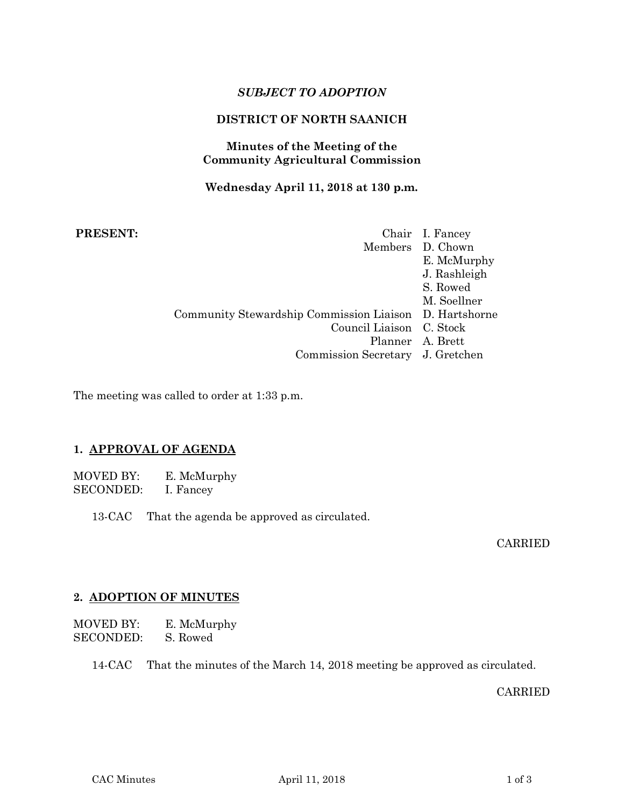# *SUBJECT TO ADOPTION*

# **DISTRICT OF NORTH SAANICH**

## **Minutes of the Meeting of the Community Agricultural Commission**

### **Wednesday April 11, 2018 at 130 p.m.**

# **PRESENT:**

|                                                                                                                                            | Chair I. Fancey<br>Members D. Chown<br>E. McMurphy<br>J. Rashleigh<br>S. Rowed |
|--------------------------------------------------------------------------------------------------------------------------------------------|--------------------------------------------------------------------------------|
| Community Stewardship Commission Liaison D. Hartshorne<br>Council Liaison C. Stock<br>Planner A. Brett<br>Commission Secretary J. Gretchen | M. Soellner                                                                    |

The meeting was called to order at 1:33 p.m.

### **1. APPROVAL OF AGENDA**

MOVED BY: E. McMurphy SECONDED: I. Fancey

13-CAC That the agenda be approved as circulated.

CARRIED

## **2. ADOPTION OF MINUTES**

MOVED BY: E. McMurphy SECONDED: S. Rowed

14-CAC That the minutes of the March 14, 2018 meeting be approved as circulated.

CARRIED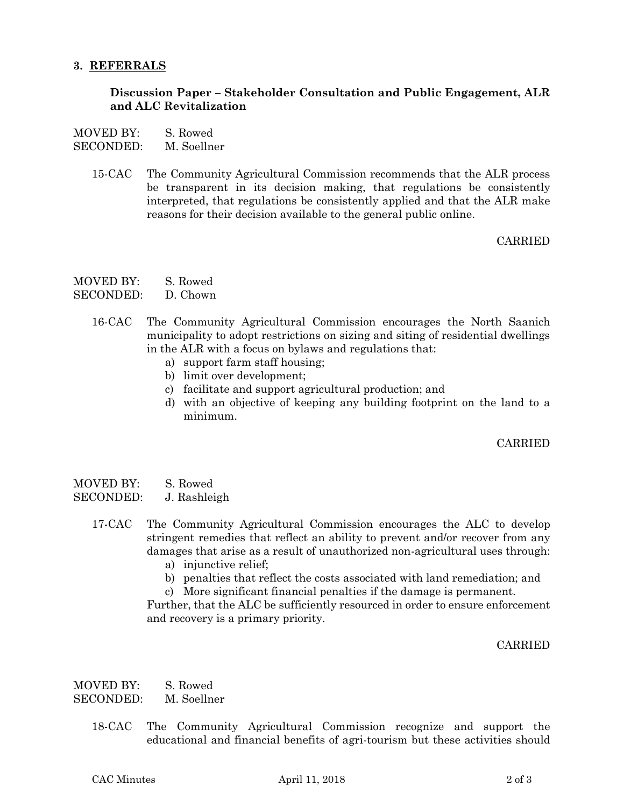#### **3. REFERRALS**

### **Discussion Paper – Stakeholder Consultation and Public Engagement, ALR and ALC Revitalization**

- MOVED BY: S. Rowed
- SECONDED: M. Soellner
	- 15-CAC The Community Agricultural Commission recommends that the ALR process be transparent in its decision making, that regulations be consistently interpreted, that regulations be consistently applied and that the ALR make reasons for their decision available to the general public online.

### CARRIED

- MOVED BY: S. Rowed
- SECONDED: D. Chown
	- 16-CAC The Community Agricultural Commission encourages the North Saanich municipality to adopt restrictions on sizing and siting of residential dwellings in the ALR with a focus on bylaws and regulations that:
		- a) support farm staff housing;
		- b) limit over development;
		- c) facilitate and support agricultural production; and
		- d) with an objective of keeping any building footprint on the land to a minimum.

### CARRIED

| MOVED BY: | S. Rowed     |
|-----------|--------------|
| SECONDED: | J. Rashleigh |

- 17-CAC The Community Agricultural Commission encourages the ALC to develop stringent remedies that reflect an ability to prevent and/or recover from any damages that arise as a result of unauthorized non-agricultural uses through:
	- a) injunctive relief;
	- b) penalties that reflect the costs associated with land remediation; and
	- c) More significant financial penalties if the damage is permanent.

Further, that the ALC be sufficiently resourced in order to ensure enforcement and recovery is a primary priority.

### CARRIED

MOVED BY: S. Rowed SECONDED: M. Soellner

> 18-CAC The Community Agricultural Commission recognize and support the educational and financial benefits of agri-tourism but these activities should